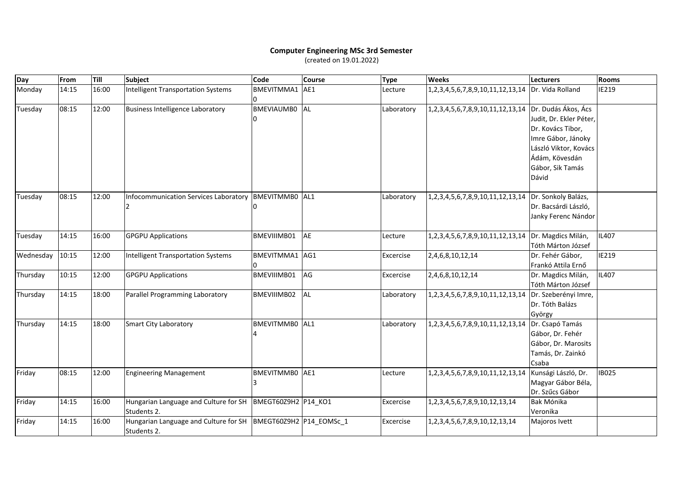## **Computer Engineering MSc 3rd Semester** (created on 19.01.2022)

| Day       | From  | Till  | <b>Subject</b>                                                                 | Code              | <b>Course</b> | <b>Type</b> | <b>Weeks</b>                                         | <b>Lecturers</b>                         | <b>Rooms</b> |
|-----------|-------|-------|--------------------------------------------------------------------------------|-------------------|---------------|-------------|------------------------------------------------------|------------------------------------------|--------------|
| Monday    | 14:15 | 16:00 | <b>Intelligent Transportation Systems</b>                                      | BMEVITMMA1        | AE1           | Lecture     | 1, 2, 3, 4, 5, 6, 7, 8, 9, 10, 11, 12, 13, 14        | Dr. Vida Rolland                         | IE219        |
| Tuesday   | 08:15 | 12:00 | <b>Business Intelligence Laboratory</b>                                        | <b>BMEVIAUMB0</b> | AL            | Laboratory  | 1,2,3,4,5,6,7,8,9,10,11,12,13,14 Dr. Dudás Ákos, Ács |                                          |              |
|           |       |       |                                                                                |                   |               |             |                                                      | Judit, Dr. Ekler Péter,                  |              |
|           |       |       |                                                                                |                   |               |             |                                                      | Dr. Kovács Tibor,                        |              |
|           |       |       |                                                                                |                   |               |             |                                                      | Imre Gábor, Jánoky                       |              |
|           |       |       |                                                                                |                   |               |             |                                                      | László Viktor, Kovács                    |              |
|           |       |       |                                                                                |                   |               |             |                                                      | Ádám, Kövesdán                           |              |
|           |       |       |                                                                                |                   |               |             |                                                      | Gábor, Sik Tamás                         |              |
|           |       |       |                                                                                |                   |               |             |                                                      | Dávid                                    |              |
| Tuesday   | 08:15 | 12:00 | Infocommunication Services Laboratory   BMEVITMMB0   AL1                       |                   |               | Laboratory  | 1,2,3,4,5,6,7,8,9,10,11,12,13,14                     | Dr. Sonkoly Balázs,                      |              |
|           |       |       |                                                                                |                   |               |             |                                                      | Dr. Bacsárdi László,                     |              |
|           |       |       |                                                                                |                   |               |             |                                                      | Janky Ferenc Nándor                      |              |
| Tuesday   | 14:15 | 16:00 | <b>GPGPU Applications</b>                                                      | BMEVIIIMB01       | AE            | Lecture     | 1, 2, 3, 4, 5, 6, 7, 8, 9, 10, 11, 12, 13, 14        | Dr. Magdics Milán,<br>Tóth Márton József | IL407        |
| Wednesday | 10:15 | 12:00 | <b>Intelligent Transportation Systems</b>                                      | BMEVITMMA1 AG1    |               | Excercise   | 2,4,6,8,10,12,14                                     | Dr. Fehér Gábor,                         | IE219        |
|           |       |       |                                                                                |                   |               |             |                                                      | Frankó Attila Ernő                       |              |
| Thursday  | 10:15 | 12:00 | <b>GPGPU Applications</b>                                                      | BMEVIIIMB01       | AG            | Excercise   | 2,4,6,8,10,12,14                                     | Dr. Magdics Milán,                       | IL407        |
|           |       |       |                                                                                |                   |               |             |                                                      | Tóth Márton József                       |              |
| Thursday  | 14:15 | 18:00 | Parallel Programming Laboratory                                                | BMEVIIIMB02       | <b>AL</b>     | Laboratory  | 1, 2, 3, 4, 5, 6, 7, 8, 9, 10, 11, 12, 13, 14        | Dr. Szeberényi Imre,                     |              |
|           |       |       |                                                                                |                   |               |             |                                                      | Dr. Tóth Balázs                          |              |
|           |       |       |                                                                                |                   |               |             |                                                      | György                                   |              |
| Thursday  | 14:15 | 18:00 | <b>Smart City Laboratory</b>                                                   | BMEVITMMB0 AL1    |               | Laboratory  | 1,2,3,4,5,6,7,8,9,10,11,12,13,14                     | Dr. Csapó Tamás                          |              |
|           |       |       |                                                                                |                   |               |             |                                                      | Gábor, Dr. Fehér                         |              |
|           |       |       |                                                                                |                   |               |             |                                                      | Gábor, Dr. Marosits                      |              |
|           |       |       |                                                                                |                   |               |             |                                                      | Tamás, Dr. Zainkó                        |              |
|           |       |       |                                                                                |                   |               |             |                                                      | Csaba                                    |              |
| Friday    | 08:15 | 12:00 | <b>Engineering Management</b>                                                  | BMEVITMMB0 AE1    |               | Lecture     | 1,2,3,4,5,6,7,8,9,10,11,12,13,14                     | Kunsági László, Dr.                      | <b>IB025</b> |
|           |       |       |                                                                                |                   |               |             |                                                      | Magyar Gábor Béla,                       |              |
|           |       |       |                                                                                |                   |               |             |                                                      | Dr. Szűcs Gábor                          |              |
| Friday    | 14:15 | 16:00 | Hungarian Language and Culture for SH   BMEGT60Z9H2   P14 KO1                  |                   |               | Excercise   | 1,2,3,4,5,6,7,8,9,10,12,13,14                        | Bak Mónika                               |              |
|           |       |       | Students 2.                                                                    |                   |               |             |                                                      | Veronika                                 |              |
| Friday    | 14:15 | 16:00 | Hungarian Language and Culture for SH  BMEGT60Z9H2  P14_EOMSc_1<br>Students 2. |                   |               | Excercise   | 1,2,3,4,5,6,7,8,9,10,12,13,14                        | Majoros Ivett                            |              |